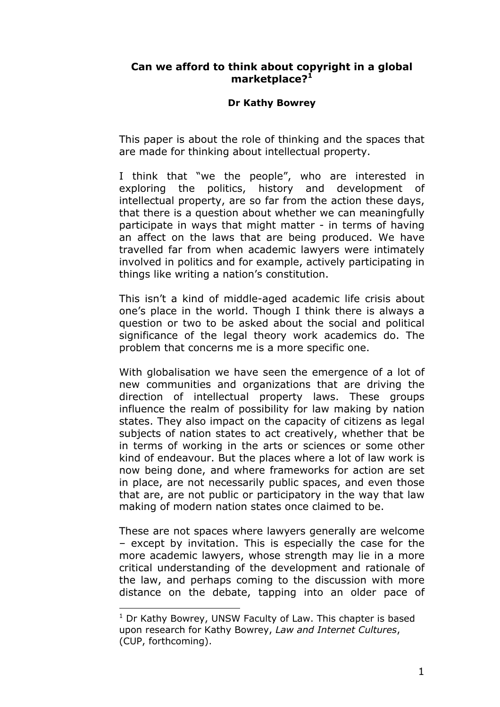# **Can we afford to think about copyright in a global marketplace[?1](#page-0-0)**

#### **Dr Kathy Bowrey**

This paper is about the role of thinking and the spaces that are made for thinking about intellectual property.

I think that "we the people", who are interested in exploring the politics, history and development of intellectual property, are so far from the action these days, that there is a question about whether we can meaningfully participate in ways that might matter - in terms of having an affect on the laws that are being produced. We have travelled far from when academic lawyers were intimately involved in politics and for example, actively participating in things like writing a nation's constitution.

This isn't a kind of middle-aged academic life crisis about one's place in the world. Though I think there is always a question or two to be asked about the social and political significance of the legal theory work academics do. The problem that concerns me is a more specific one.

With globalisation we have seen the emergence of a lot of new communities and organizations that are driving the direction of intellectual property laws. These groups influence the realm of possibility for law making by nation states. They also impact on the capacity of citizens as legal subjects of nation states to act creatively, whether that be in terms of working in the arts or sciences or some other kind of endeavour. But the places where a lot of law work is now being done, and where frameworks for action are set in place, are not necessarily public spaces, and even those that are, are not public or participatory in the way that law making of modern nation states once claimed to be.

These are not spaces where lawyers generally are welcome – except by invitation. This is especially the case for the more academic lawyers, whose strength may lie in a more critical understanding of the development and rationale of the law, and perhaps coming to the discussion with more distance on the debate, tapping into an older pace of

<span id="page-0-0"></span> $1$  Dr Kathy Bowrey, UNSW Faculty of Law. This chapter is based upon research for Kathy Bowrey, *Law and Internet Cultures*, (CUP, forthcoming).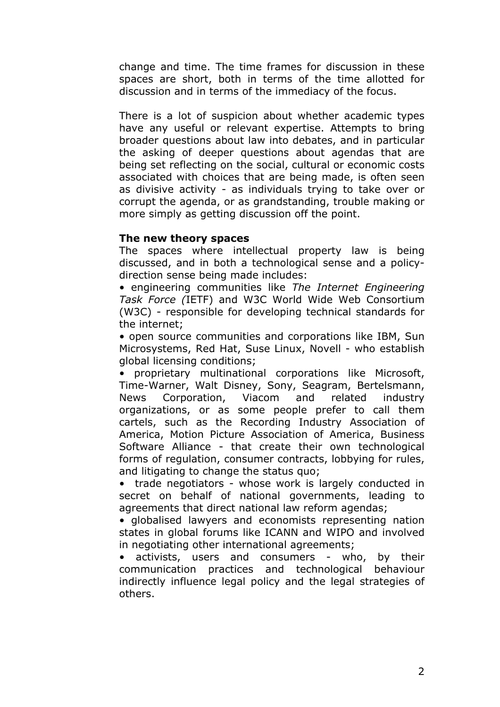change and time. The time frames for discussion in these spaces are short, both in terms of the time allotted for discussion and in terms of the immediacy of the focus.

There is a lot of suspicion about whether academic types have any useful or relevant expertise. Attempts to bring broader questions about law into debates, and in particular the asking of deeper questions about agendas that are being set reflecting on the social, cultural or economic costs associated with choices that are being made, is often seen as divisive activity - as individuals trying to take over or corrupt the agenda, or as grandstanding, trouble making or more simply as getting discussion off the point.

# **The new theory spaces**

The spaces where intellectual property law is being discussed, and in both a technological sense and a policydirection sense being made includes:

• engineering communities like *The Internet Engineering Task Force (*IETF) and W3C World Wide Web Consortium (W3C) - responsible for developing technical standards for the internet;

• open source communities and corporations like IBM, Sun Microsystems, Red Hat, Suse Linux, Novell - who establish global licensing conditions;

• proprietary multinational corporations like Microsoft, Time-Warner, Walt Disney, Sony, Seagram, Bertelsmann, News Corporation, Viacom and related industry organizations, or as some people prefer to call them cartels, such as the Recording Industry Association of America, Motion Picture Association of America, Business Software Alliance - that create their own technological forms of regulation, consumer contracts, lobbying for rules, and litigating to change the status quo;

• trade negotiators - whose work is largely conducted in secret on behalf of national governments, leading to agreements that direct national law reform agendas;

• globalised lawyers and economists representing nation states in global forums like ICANN and WIPO and involved in negotiating other international agreements;

activists, users and consumers - who, by their communication practices and technological behaviour indirectly influence legal policy and the legal strategies of others.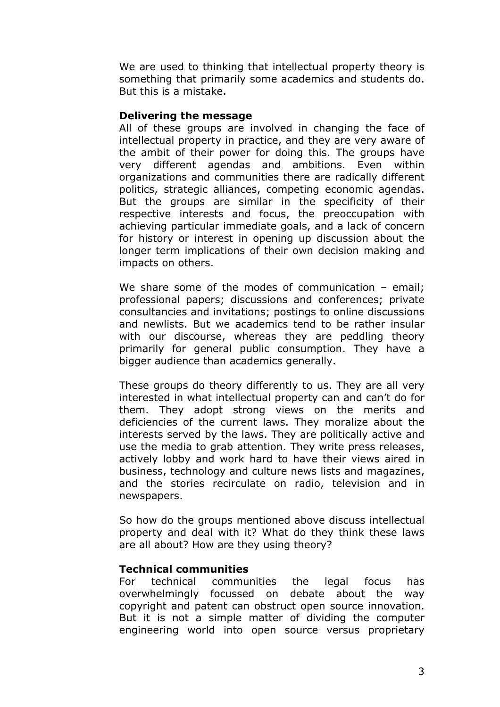We are used to thinking that intellectual property theory is something that primarily some academics and students do. But this is a mistake.

#### **Delivering the message**

All of these groups are involved in changing the face of intellectual property in practice, and they are very aware of the ambit of their power for doing this. The groups have very different agendas and ambitions. Even within organizations and communities there are radically different politics, strategic alliances, competing economic agendas. But the groups are similar in the specificity of their respective interests and focus, the preoccupation with achieving particular immediate goals, and a lack of concern for history or interest in opening up discussion about the longer term implications of their own decision making and impacts on others.

We share some of the modes of communication – email; professional papers; discussions and conferences; private consultancies and invitations; postings to online discussions and newlists. But we academics tend to be rather insular with our discourse, whereas they are peddling theory primarily for general public consumption. They have a bigger audience than academics generally.

These groups do theory differently to us. They are all very interested in what intellectual property can and can't do for them. They adopt strong views on the merits and deficiencies of the current laws. They moralize about the interests served by the laws. They are politically active and use the media to grab attention. They write press releases, actively lobby and work hard to have their views aired in business, technology and culture news lists and magazines, and the stories recirculate on radio, television and in newspapers.

So how do the groups mentioned above discuss intellectual property and deal with it? What do they think these laws are all about? How are they using theory?

# **Technical communities**

For technical communities the legal focus has overwhelmingly focussed on debate about the way copyright and patent can obstruct open source innovation. But it is not a simple matter of dividing the computer engineering world into open source versus proprietary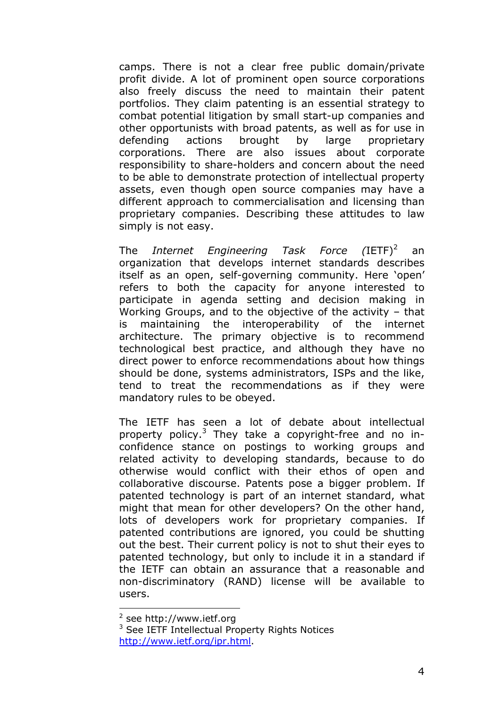camps. There is not a clear free public domain/private profit divide. A lot of prominent open source corporations also freely discuss the need to maintain their patent portfolios. They claim patenting is an essential strategy to combat potential litigation by small start-up companies and other opportunists with broad patents, as well as for use in defending actions brought by large proprietary corporations. There are also issues about corporate responsibility to share-holders and concern about the need to be able to demonstrate protection of intellectual property assets, even though open source companies may have a different approach to commercialisation and licensing than proprietary companies. Describing these attitudes to law simply is not easy.

The *Internet Engineering Task Force (IETF)<sup>[2](#page-3-0)</sup>*  an organization that develops internet standards describes itself as an open, self-governing community. Here 'open' refers to both the capacity for anyone interested to participate in agenda setting and decision making in Working Groups, and to the objective of the activity – that is maintaining the interoperability of the internet architecture. The primary objective is to recommend technological best practice, and although they have no direct power to enforce recommendations about how things should be done, systems administrators, ISPs and the like, tend to treat the recommendations as if they were mandatory rules to be obeyed.

The IETF has seen a lot of debate about intellectual property policy.<sup>[3](#page-3-1)</sup> They take a copyright-free and no inconfidence stance on postings to working groups and related activity to developing standards, because to do otherwise would conflict with their ethos of open and collaborative discourse. Patents pose a bigger problem. If patented technology is part of an internet standard, what might that mean for other developers? On the other hand, lots of developers work for proprietary companies. If patented contributions are ignored, you could be shutting out the best. Their current policy is not to shut their eyes to patented technology, but only to include it in a standard if the IETF can obtain an assurance that a reasonable and non-discriminatory (RAND) license will be available to users.

<span id="page-3-0"></span><sup>&</sup>lt;sup>2</sup> see http://www.ietf.org

<span id="page-3-1"></span><sup>&</sup>lt;sup>3</sup> See IETF Intellectual Property Rights Notices [http://www.ietf.org/ipr.html.](http://www.ietf.org/ipr.html)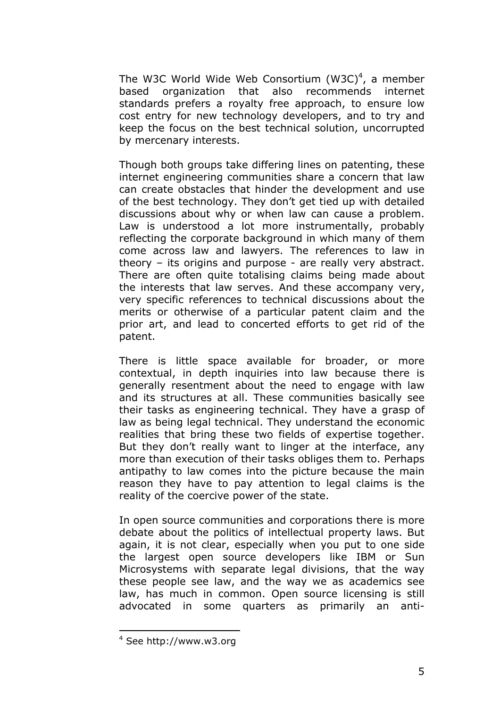The W3C World Wide Web Consortium  $(W3C)^4$  $(W3C)^4$ , a member based organization that also recommends internet standards prefers a royalty free approach, to ensure low cost entry for new technology developers, and to try and keep the focus on the best technical solution, uncorrupted by mercenary interests.

Though both groups take differing lines on patenting, these internet engineering communities share a concern that law can create obstacles that hinder the development and use of the best technology. They don't get tied up with detailed discussions about why or when law can cause a problem. Law is understood a lot more instrumentally, probably reflecting the corporate background in which many of them come across law and lawyers. The references to law in theory – its origins and purpose - are really very abstract. There are often quite totalising claims being made about the interests that law serves. And these accompany very, very specific references to technical discussions about the merits or otherwise of a particular patent claim and the prior art, and lead to concerted efforts to get rid of the patent.

There is little space available for broader, or more contextual, in depth inquiries into law because there is generally resentment about the need to engage with law and its structures at all. These communities basically see their tasks as engineering technical. They have a grasp of law as being legal technical. They understand the economic realities that bring these two fields of expertise together. But they don't really want to linger at the interface, any more than execution of their tasks obliges them to. Perhaps antipathy to law comes into the picture because the main reason they have to pay attention to legal claims is the reality of the coercive power of the state.

In open source communities and corporations there is more debate about the politics of intellectual property laws. But again, it is not clear, especially when you put to one side the largest open source developers like IBM or Sun Microsystems with separate legal divisions, that the way these people see law, and the way we as academics see law, has much in common. Open source licensing is still advocated in some quarters as primarily an anti-

<span id="page-4-0"></span><sup>4</sup> See http://www.w3.org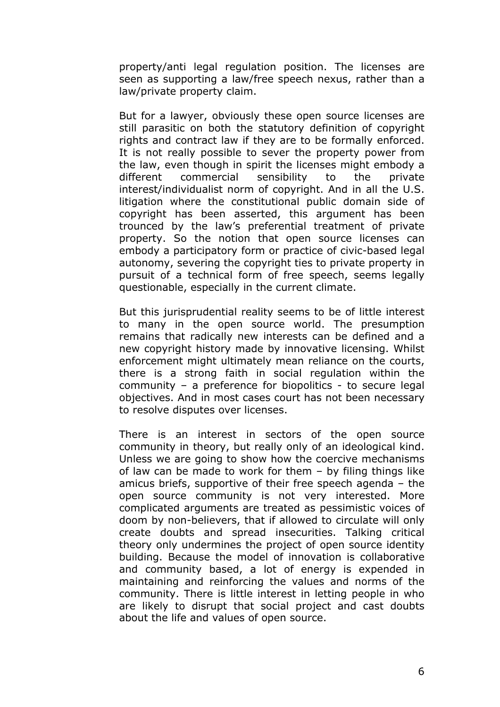property/anti legal regulation position. The licenses are seen as supporting a law/free speech nexus, rather than a law/private property claim.

But for a lawyer, obviously these open source licenses are still parasitic on both the statutory definition of copyright rights and contract law if they are to be formally enforced. It is not really possible to sever the property power from the law, even though in spirit the licenses might embody a different commercial sensibility to the private interest/individualist norm of copyright. And in all the U.S. litigation where the constitutional public domain side of copyright has been asserted, this argument has been trounced by the law's preferential treatment of private property. So the notion that open source licenses can embody a participatory form or practice of civic-based legal autonomy, severing the copyright ties to private property in pursuit of a technical form of free speech, seems legally questionable, especially in the current climate.

But this jurisprudential reality seems to be of little interest to many in the open source world. The presumption remains that radically new interests can be defined and a new copyright history made by innovative licensing. Whilst enforcement might ultimately mean reliance on the courts, there is a strong faith in social regulation within the community – a preference for biopolitics - to secure legal objectives. And in most cases court has not been necessary to resolve disputes over licenses.

There is an interest in sectors of the open source community in theory, but really only of an ideological kind. Unless we are going to show how the coercive mechanisms of law can be made to work for them – by filing things like amicus briefs, supportive of their free speech agenda – the open source community is not very interested. More complicated arguments are treated as pessimistic voices of doom by non-believers, that if allowed to circulate will only create doubts and spread insecurities. Talking critical theory only undermines the project of open source identity building. Because the model of innovation is collaborative and community based, a lot of energy is expended in maintaining and reinforcing the values and norms of the community. There is little interest in letting people in who are likely to disrupt that social project and cast doubts about the life and values of open source.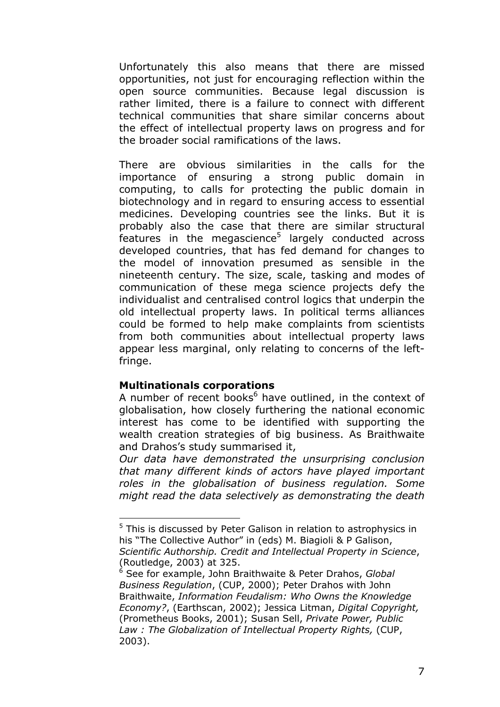Unfortunately this also means that there are missed opportunities, not just for encouraging reflection within the open source communities. Because legal discussion is rather limited, there is a failure to connect with different technical communities that share similar concerns about the effect of intellectual property laws on progress and for the broader social ramifications of the laws.

There are obvious similarities in the calls for the importance of ensuring a strong public domain in computing, to calls for protecting the public domain in biotechnology and in regard to ensuring access to essential medicines. Developing countries see the links. But it is probably also the case that there are similar structural features in the megascience $5$  largely conducted across developed countries, that has fed demand for changes to the model of innovation presumed as sensible in the nineteenth century. The size, scale, tasking and modes of communication of these mega science projects defy the individualist and centralised control logics that underpin the old intellectual property laws. In political terms alliances could be formed to help make complaints from scientists from both communities about intellectual property laws appear less marginal, only relating to concerns of the leftfringe.

#### **Multinationals corporations**

 $\overline{a}$ 

A number of recent books<sup>[6](#page-6-1)</sup> have outlined, in the context of globalisation, how closely furthering the national economic interest has come to be identified with supporting the wealth creation strategies of big business. As Braithwaite and Drahos's study summarised it,

*Our data have demonstrated the unsurprising conclusion that many different kinds of actors have played important roles in the globalisation of business regulation. Some might read the data selectively as demonstrating the death* 

<span id="page-6-0"></span><sup>&</sup>lt;sup>5</sup> This is discussed by Peter Galison in relation to astrophysics in his "The Collective Author" in (eds) M. Biagioli & P Galison, *Scientific Authorship. Credit and Intellectual Property in Science*, (Routledge, 2003) at 325.

<span id="page-6-1"></span><sup>6</sup> See for example, John Braithwaite & Peter Drahos, *Global Business Regulation*, (CUP, 2000); Peter Drahos with John Braithwaite, *Information Feudalism: Who Owns the Knowledge Economy?*, (Earthscan, 2002); Jessica Litman, *Digital Copyright,* (Prometheus Books, 2001); Susan Sell, *Private Power, Public Law : The Globalization of Intellectual Property Rights,* (CUP, 2003).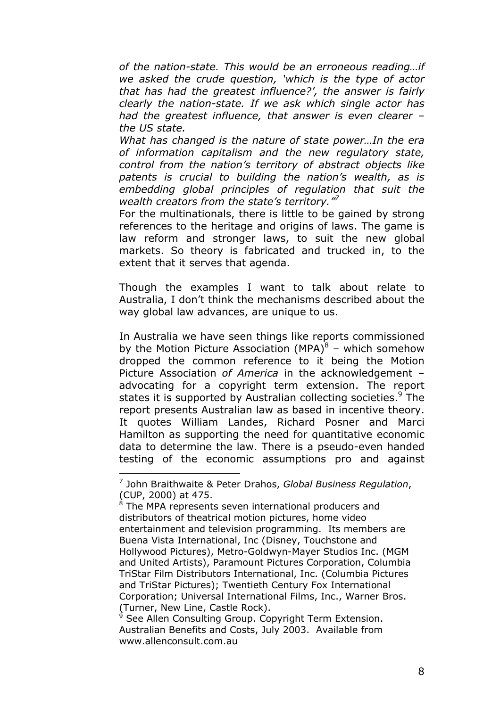*of the nation-state. This would be an erroneous reading…if we asked the crude question, 'which is the type of actor that has had the greatest influence?', the answer is fairly clearly the nation-state. If we ask which single actor has had the greatest influence, that answer is even clearer – the US state.* 

*What has changed is the nature of state power…In the era of information capitalism and the new regulatory state, control from the nation's territory of abstract objects like patents is crucial to building the nation's wealth, as is embedding global principles of regulation that suit the wealth creators from the state's territory."[7](#page-7-0)*

For the multinationals, there is little to be gained by strong references to the heritage and origins of laws. The game is law reform and stronger laws, to suit the new global markets. So theory is fabricated and trucked in, to the extent that it serves that agenda.

Though the examples I want to talk about relate to Australia, I don't think the mechanisms described about the way global law advances, are unique to us.

In Australia we have seen things like reports commissioned by the Motion Picture Association (MPA) $\delta$  – which somehow dropped the common reference to it being the Motion Picture Association *of America* in the acknowledgement – advocating for a copyright term extension. The report states it is supported by Australian collecting societies.<sup>[9](#page-7-2)</sup> The report presents Australian law as based in incentive theory. It quotes William Landes, Richard Posner and Marci Hamilton as supporting the need for quantitative economic data to determine the law. There is a pseudo-even handed testing of the economic assumptions pro and against

<span id="page-7-0"></span><sup>7</sup> John Braithwaite & Peter Drahos, *Global Business Regulation*, (CUP, 2000) at 475.

<span id="page-7-1"></span><sup>&</sup>lt;sup>8</sup> The MPA represents seven international producers and distributors of theatrical motion pictures, home video entertainment and television programming. Its members are Buena Vista International, Inc (Disney, Touchstone and Hollywood Pictures), Metro-Goldwyn-Mayer Studios Inc. (MGM and United Artists), Paramount Pictures Corporation, Columbia TriStar Film Distributors International, Inc. (Columbia Pictures and TriStar Pictures); Twentieth Century Fox International Corporation; Universal International Films, Inc., Warner Bros. (Turner, New Line, Castle Rock).

<span id="page-7-2"></span><sup>&</sup>lt;sup>9</sup> See Allen Consulting Group. Copyright Term Extension. Australian Benefits and Costs, July 2003. Available from www.allenconsult.com.au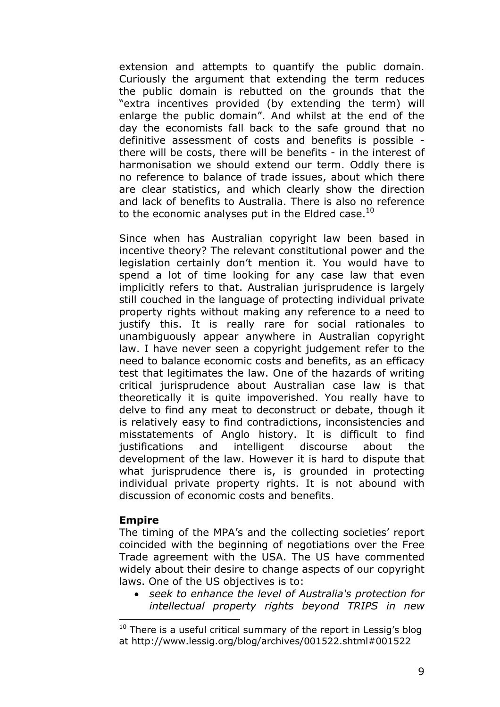extension and attempts to quantify the public domain. Curiously the argument that extending the term reduces the public domain is rebutted on the grounds that the "extra incentives provided (by extending the term) will enlarge the public domain". And whilst at the end of the day the economists fall back to the safe ground that no definitive assessment of costs and benefits is possible there will be costs, there will be benefits - in the interest of harmonisation we should extend our term. Oddly there is no reference to balance of trade issues, about which there are clear statistics, and which clearly show the direction and lack of benefits to Australia. There is also no reference to the economic analyses put in the Eldred case.<sup>10</sup>

Since when has Australian copyright law been based in incentive theory? The relevant constitutional power and the legislation certainly don't mention it. You would have to spend a lot of time looking for any case law that even implicitly refers to that. Australian jurisprudence is largely still couched in the language of protecting individual private property rights without making any reference to a need to justify this. It is really rare for social rationales to unambiguously appear anywhere in Australian copyright law. I have never seen a copyright judgement refer to the need to balance economic costs and benefits, as an efficacy test that legitimates the law. One of the hazards of writing critical jurisprudence about Australian case law is that theoretically it is quite impoverished. You really have to delve to find any meat to deconstruct or debate, though it is relatively easy to find contradictions, inconsistencies and misstatements of Anglo history. It is difficult to find justifications and intelligent discourse about the development of the law. However it is hard to dispute that what jurisprudence there is, is grounded in protecting individual private property rights. It is not abound with discussion of economic costs and benefits.

#### **Empire**

 $\overline{a}$ 

The timing of the MPA's and the collecting societies' report coincided with the beginning of negotiations over the Free Trade agreement with the USA. The US have commented widely about their desire to change aspects of our copyright laws. One of the US objectives is to:

• *seek to enhance the level of Australia's protection for intellectual property rights beyond TRIPS in new* 

<span id="page-8-0"></span> $10$  There is a useful critical summary of the report in Lessig's blog at http://www.lessig.org/blog/archives/001522.shtml#001522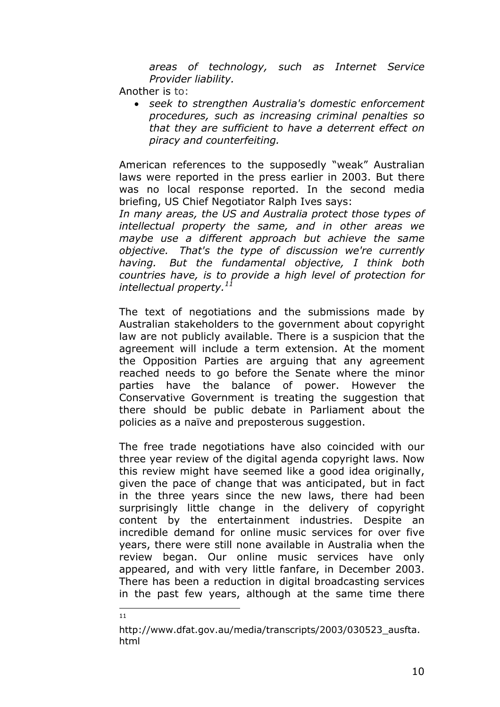*areas of technology, such as Internet Service Provider liability.* 

Another is to:

• *seek to strengthen Australia's domestic enforcement procedures, such as increasing criminal penalties so that they are sufficient to have a deterrent effect on piracy and counterfeiting.* 

American references to the supposedly "weak" Australian laws were reported in the press earlier in 2003. But there was no local response reported. In the second media briefing, US Chief Negotiator Ralph Ives says:

*In many areas, the US and Australia protect those types of intellectual property the same, and in other areas we maybe use a different approach but achieve the same objective. That's the type of discussion we're currently having. But the fundamental objective, I think both countries have, is to provide a high level of protection for intellectual property.[11](#page-9-0)*

The text of negotiations and the submissions made by Australian stakeholders to the government about copyright law are not publicly available. There is a suspicion that the agreement will include a term extension. At the moment the Opposition Parties are arguing that any agreement reached needs to go before the Senate where the minor parties have the balance of power. However the Conservative Government is treating the suggestion that there should be public debate in Parliament about the policies as a naïve and preposterous suggestion.

The free trade negotiations have also coincided with our three year review of the digital agenda copyright laws. Now this review might have seemed like a good idea originally, given the pace of change that was anticipated, but in fact in the three years since the new laws, there had been surprisingly little change in the delivery of copyright content by the entertainment industries. Despite an incredible demand for online music services for over five years, there were still none available in Australia when the review began. Our online music services have only appeared, and with very little fanfare, in December 2003. There has been a reduction in digital broadcasting services in the past few years, although at the same time there

 $\frac{1}{11}$ 

<span id="page-9-0"></span>http://www.dfat.gov.au/media/transcripts/2003/030523\_ausfta. html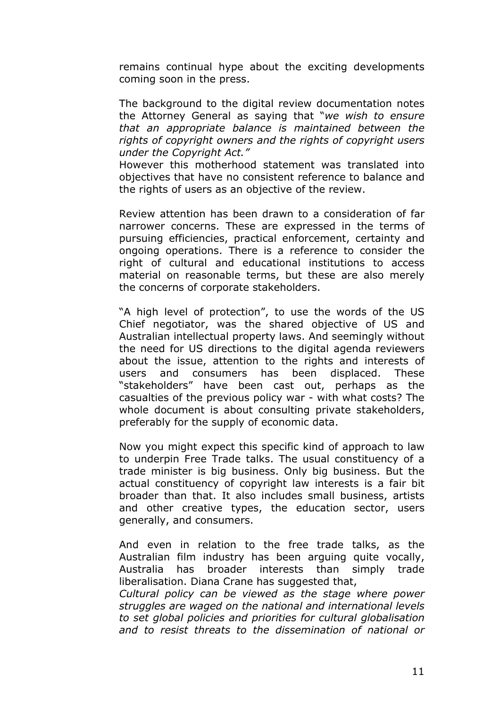remains continual hype about the exciting developments coming soon in the press.

The background to the digital review documentation notes the Attorney General as saying that "*we wish to ensure that an appropriate balance is maintained between the rights of copyright owners and the rights of copyright users under the Copyright Act."* 

However this motherhood statement was translated into objectives that have no consistent reference to balance and the rights of users as an objective of the review.

Review attention has been drawn to a consideration of far narrower concerns. These are expressed in the terms of pursuing efficiencies, practical enforcement, certainty and ongoing operations. There is a reference to consider the right of cultural and educational institutions to access material on reasonable terms, but these are also merely the concerns of corporate stakeholders.

"A high level of protection", to use the words of the US Chief negotiator, was the shared objective of US and Australian intellectual property laws. And seemingly without the need for US directions to the digital agenda reviewers about the issue, attention to the rights and interests of users and consumers has been displaced. These "stakeholders" have been cast out, perhaps as the casualties of the previous policy war - with what costs? The whole document is about consulting private stakeholders, preferably for the supply of economic data.

Now you might expect this specific kind of approach to law to underpin Free Trade talks. The usual constituency of a trade minister is big business. Only big business. But the actual constituency of copyright law interests is a fair bit broader than that. It also includes small business, artists and other creative types, the education sector, users generally, and consumers.

And even in relation to the free trade talks, as the Australian film industry has been arguing quite vocally, Australia has broader interests than simply trade liberalisation. Diana Crane has suggested that,

*Cultural policy can be viewed as the stage where power struggles are waged on the national and international levels to set global policies and priorities for cultural globalisation and to resist threats to the dissemination of national or*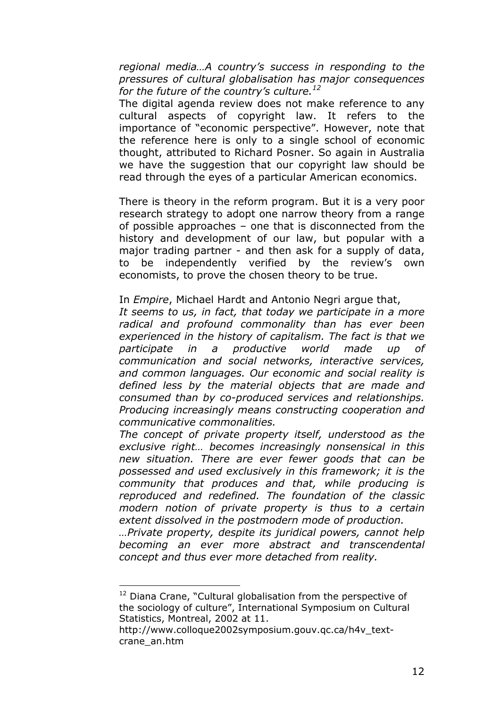*regional media…A country's success in responding to the pressures of cultural globalisation has major consequences for the future of the country's culture.[12](#page-11-0)*

The digital agenda review does not make reference to any cultural aspects of copyright law. It refers to the importance of "economic perspective". However, note that the reference here is only to a single school of economic thought, attributed to Richard Posner. So again in Australia we have the suggestion that our copyright law should be read through the eyes of a particular American economics.

There is theory in the reform program. But it is a very poor research strategy to adopt one narrow theory from a range of possible approaches – one that is disconnected from the history and development of our law, but popular with a major trading partner - and then ask for a supply of data, to be independently verified by the review's own economists, to prove the chosen theory to be true.

In *Empire*, Michael Hardt and Antonio Negri argue that,

*It seems to us, in fact, that today we participate in a more radical and profound commonality than has ever been experienced in the history of capitalism. The fact is that we participate in a productive world made up of communication and social networks, interactive services, and common languages. Our economic and social reality is defined less by the material objects that are made and consumed than by co-produced services and relationships. Producing increasingly means constructing cooperation and communicative commonalities.* 

*The concept of private property itself, understood as the exclusive right… becomes increasingly nonsensical in this new situation. There are ever fewer goods that can be possessed and used exclusively in this framework; it is the community that produces and that, while producing is reproduced and redefined. The foundation of the classic modern notion of private property is thus to a certain extent dissolved in the postmodern mode of production.* 

*…Private property, despite its juridical powers, cannot help becoming an ever more abstract and transcendental concept and thus ever more detached from reality.* 

<span id="page-11-0"></span><sup>&</sup>lt;sup>12</sup> Diana Crane, "Cultural globalisation from the perspective of the sociology of culture", International Symposium on Cultural Statistics, Montreal, 2002 at 11.

http://www.colloque2002symposium.gouv.qc.ca/h4v\_textcrane\_an.htm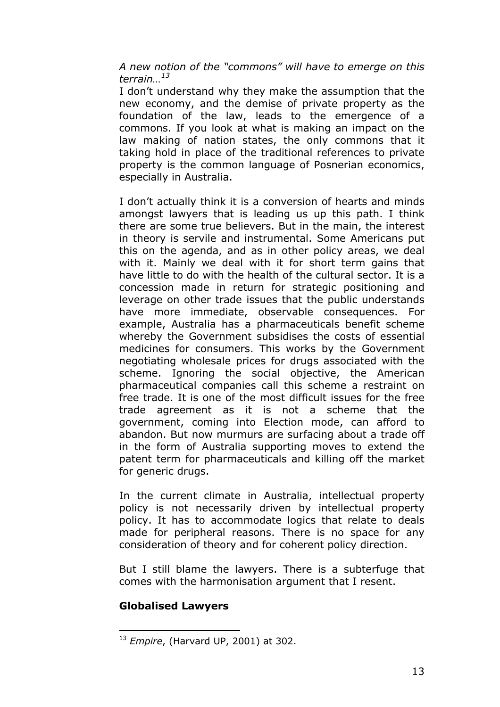*A new notion of the "commons" will have to emerge on this terrain…[13](#page-12-0)*

I don't understand why they make the assumption that the new economy, and the demise of private property as the foundation of the law, leads to the emergence of a commons. If you look at what is making an impact on the law making of nation states, the only commons that it taking hold in place of the traditional references to private property is the common language of Posnerian economics, especially in Australia.

I don't actually think it is a conversion of hearts and minds amongst lawyers that is leading us up this path. I think there are some true believers. But in the main, the interest in theory is servile and instrumental. Some Americans put this on the agenda, and as in other policy areas, we deal with it. Mainly we deal with it for short term gains that have little to do with the health of the cultural sector. It is a concession made in return for strategic positioning and leverage on other trade issues that the public understands have more immediate, observable consequences. For example, Australia has a pharmaceuticals benefit scheme whereby the Government subsidises the costs of essential medicines for consumers. This works by the Government negotiating wholesale prices for drugs associated with the scheme. Ignoring the social objective, the American pharmaceutical companies call this scheme a restraint on free trade. It is one of the most difficult issues for the free trade agreement as it is not a scheme that the government, coming into Election mode, can afford to abandon. But now murmurs are surfacing about a trade off in the form of Australia supporting moves to extend the patent term for pharmaceuticals and killing off the market for generic drugs.

In the current climate in Australia, intellectual property policy is not necessarily driven by intellectual property policy. It has to accommodate logics that relate to deals made for peripheral reasons. There is no space for any consideration of theory and for coherent policy direction.

But I still blame the lawyers. There is a subterfuge that comes with the harmonisation argument that I resent.

# **Globalised Lawyers**

<span id="page-12-0"></span> $\overline{a}$ <sup>13</sup> *Empire*, (Harvard UP, 2001) at 302.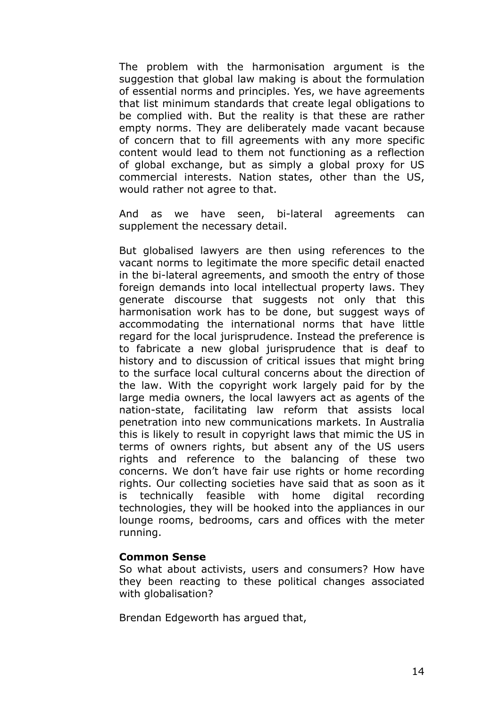The problem with the harmonisation argument is the suggestion that global law making is about the formulation of essential norms and principles. Yes, we have agreements that list minimum standards that create legal obligations to be complied with. But the reality is that these are rather empty norms. They are deliberately made vacant because of concern that to fill agreements with any more specific content would lead to them not functioning as a reflection of global exchange, but as simply a global proxy for US commercial interests. Nation states, other than the US, would rather not agree to that.

And as we have seen, bi-lateral agreements can supplement the necessary detail.

But globalised lawyers are then using references to the vacant norms to legitimate the more specific detail enacted in the bi-lateral agreements, and smooth the entry of those foreign demands into local intellectual property laws. They generate discourse that suggests not only that this harmonisation work has to be done, but suggest ways of accommodating the international norms that have little regard for the local jurisprudence. Instead the preference is to fabricate a new global jurisprudence that is deaf to history and to discussion of critical issues that might bring to the surface local cultural concerns about the direction of the law. With the copyright work largely paid for by the large media owners, the local lawyers act as agents of the nation-state, facilitating law reform that assists local penetration into new communications markets. In Australia this is likely to result in copyright laws that mimic the US in terms of owners rights, but absent any of the US users rights and reference to the balancing of these two concerns. We don't have fair use rights or home recording rights. Our collecting societies have said that as soon as it is technically feasible with home digital recording technologies, they will be hooked into the appliances in our lounge rooms, bedrooms, cars and offices with the meter running.

#### **Common Sense**

So what about activists, users and consumers? How have they been reacting to these political changes associated with globalisation?

Brendan Edgeworth has argued that,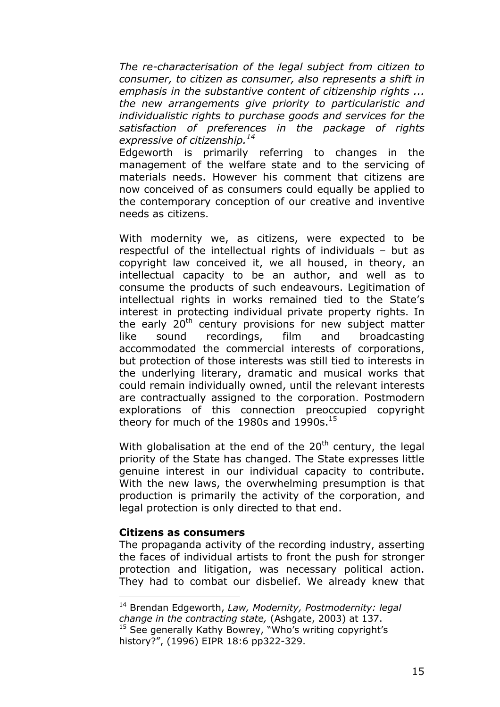*The re-characterisation of the legal subject from citizen to consumer, to citizen as consumer, also represents a shift in emphasis in the substantive content of citizenship rights ... the new arrangements give priority to particularistic and individualistic rights to purchase goods and services for the satisfaction of preferences in the package of rights expressive of citizenship.[14](#page-14-0)* 

Edgeworth is primarily referring to changes in the management of the welfare state and to the servicing of materials needs. However his comment that citizens are now conceived of as consumers could equally be applied to the contemporary conception of our creative and inventive needs as citizens.

With modernity we, as citizens, were expected to be respectful of the intellectual rights of individuals – but as copyright law conceived it, we all housed, in theory, an intellectual capacity to be an author, and well as to consume the products of such endeavours. Legitimation of intellectual rights in works remained tied to the State's interest in protecting individual private property rights. In the early 20<sup>th</sup> century provisions for new subject matter like sound recordings, film and broadcasting accommodated the commercial interests of corporations, but protection of those interests was still tied to interests in the underlying literary, dramatic and musical works that could remain individually owned, until the relevant interests are contractually assigned to the corporation. Postmodern explorations of this connection preoccupied copyright theory for much of the 1980s and 1990s. $15$ 

With globalisation at the end of the  $20<sup>th</sup>$  century, the legal priority of the State has changed. The State expresses little genuine interest in our individual capacity to contribute. With the new laws, the overwhelming presumption is that production is primarily the activity of the corporation, and legal protection is only directed to that end.

#### **Citizens as consumers**

 $\overline{a}$ 

The propaganda activity of the recording industry, asserting the faces of individual artists to front the push for stronger protection and litigation, was necessary political action. They had to combat our disbelief. We already knew that

<span id="page-14-0"></span><sup>14</sup> Brendan Edgeworth, *Law, Modernity, Postmodernity: legal change in the contracting state,* (Ashgate, 2003) at 137. <sup>15</sup> See generally Kathy Bowrey, "Who's writing copyright's

<span id="page-14-1"></span>history?", (1996) EIPR 18:6 pp322-329.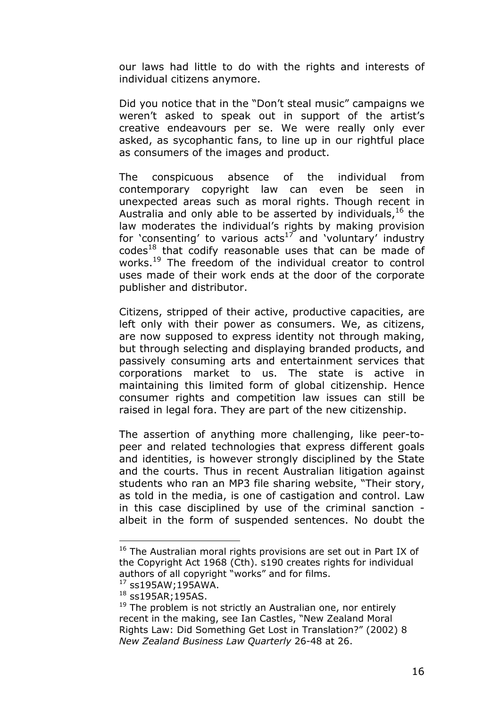our laws had little to do with the rights and interests of individual citizens anymore.

Did you notice that in the "Don't steal music" campaigns we weren't asked to speak out in support of the artist's creative endeavours per se. We were really only ever asked, as sycophantic fans, to line up in our rightful place as consumers of the images and product.

The conspicuous absence of the individual from contemporary copyright law can even be seen in unexpected areas such as moral rights. Though recent in Australia and only able to be asserted by individuals,  $16$  the law moderates the individual's rights by making provision for 'consenting' to various  $acts^{17}$  and 'voluntary' industry  $codes<sup>18</sup>$  that codify reasonable uses that can be made of works.<sup>19</sup> The freedom of the individual creator to control uses made of their work ends at the door of the corporate publisher and distributor.

Citizens, stripped of their active, productive capacities, are left only with their power as consumers. We, as citizens, are now supposed to express identity not through making, but through selecting and displaying branded products, and passively consuming arts and entertainment services that corporations market to us. The state is active in maintaining this limited form of global citizenship. Hence consumer rights and competition law issues can still be raised in legal fora. They are part of the new citizenship.

The assertion of anything more challenging, like peer-topeer and related technologies that express different goals and identities, is however strongly disciplined by the State and the courts. Thus in recent Australian litigation against students who ran an MP3 file sharing website, "Their story, as told in the media, is one of castigation and control. Law in this case disciplined by use of the criminal sanction albeit in the form of suspended sentences. No doubt the

<span id="page-15-0"></span> $16$  The Australian moral rights provisions are set out in Part IX of the Copyright Act 1968 (Cth). s190 creates rights for individual authors of all copyright "works" and for films.

<span id="page-15-1"></span><sup>17</sup> ss195AW;195AWA.

<span id="page-15-2"></span><sup>18</sup> ss195AR;195AS.

<span id="page-15-3"></span> $19$  The problem is not strictly an Australian one, nor entirely recent in the making, see Ian Castles, "New Zealand Moral Rights Law: Did Something Get Lost in Translation?" (2002) 8 *New Zealand Business Law Quarterly* 26-48 at 26.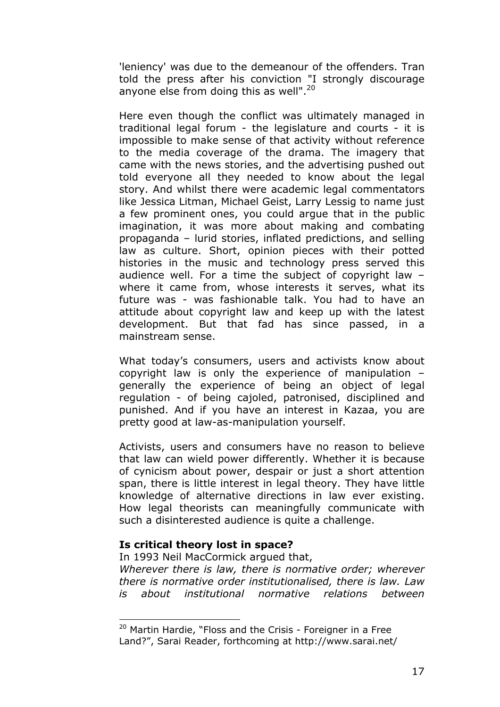'leniency' was due to the demeanour of the offenders. Tran told the press after his conviction "I strongly discourage anyone else from doing this as well". $20$ 

Here even though the conflict was ultimately managed in traditional legal forum - the legislature and courts - it is impossible to make sense of that activity without reference to the media coverage of the drama. The imagery that came with the news stories, and the advertising pushed out told everyone all they needed to know about the legal story. And whilst there were academic legal commentators like Jessica Litman, Michael Geist, Larry Lessig to name just a few prominent ones, you could argue that in the public imagination, it was more about making and combating propaganda – lurid stories, inflated predictions, and selling law as culture. Short, opinion pieces with their potted histories in the music and technology press served this audience well. For a time the subject of copyright law – where it came from, whose interests it serves, what its future was - was fashionable talk. You had to have an attitude about copyright law and keep up with the latest development. But that fad has since passed, in a mainstream sense.

What today's consumers, users and activists know about copyright law is only the experience of manipulation – generally the experience of being an object of legal regulation - of being cajoled, patronised, disciplined and punished. And if you have an interest in Kazaa, you are pretty good at law-as-manipulation yourself.

Activists, users and consumers have no reason to believe that law can wield power differently. Whether it is because of cynicism about power, despair or just a short attention span, there is little interest in legal theory. They have little knowledge of alternative directions in law ever existing. How legal theorists can meaningfully communicate with such a disinterested audience is quite a challenge.

# **Is critical theory lost in space?**

 $\overline{a}$ 

In 1993 Neil MacCormick argued that,

*Wherever there is law, there is normative order; wherever there is normative order institutionalised, there is law. Law is about institutional normative relations between* 

<span id="page-16-0"></span><sup>&</sup>lt;sup>20</sup> Martin Hardie, "Floss and the Crisis - Foreigner in a Free Land?", Sarai Reader, forthcoming at http://www.sarai.net/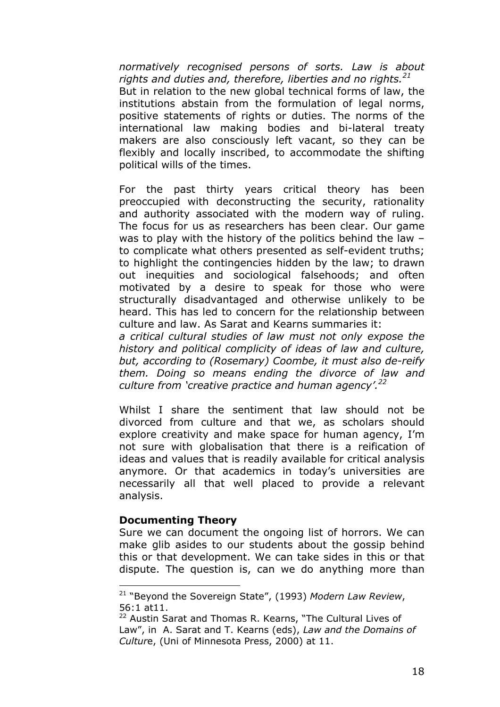*normatively recognised persons of sorts. Law is about rights and duties and, therefore, liberties and no rights.[21](#page-17-0)* But in relation to the new global technical forms of law, the institutions abstain from the formulation of legal norms, positive statements of rights or duties. The norms of the international law making bodies and bi-lateral treaty makers are also consciously left vacant, so they can be flexibly and locally inscribed, to accommodate the shifting political wills of the times.

For the past thirty years critical theory has been preoccupied with deconstructing the security, rationality and authority associated with the modern way of ruling. The focus for us as researchers has been clear. Our game was to play with the history of the politics behind the law – to complicate what others presented as self-evident truths; to highlight the contingencies hidden by the law; to drawn out inequities and sociological falsehoods; and often motivated by a desire to speak for those who were structurally disadvantaged and otherwise unlikely to be heard. This has led to concern for the relationship between culture and law. As Sarat and Kearns summaries it:

*a critical cultural studies of law must not only expose the history and political complicity of ideas of law and culture, but, according to (Rosemary) Coombe, it must also de-reify them. Doing so means ending the divorce of law and culture from 'creative practice and human agency'[.22](#page-17-1)*

Whilst I share the sentiment that law should not be divorced from culture and that we, as scholars should explore creativity and make space for human agency, I'm not sure with globalisation that there is a reification of ideas and values that is readily available for critical analysis anymore. Or that academics in today's universities are necessarily all that well placed to provide a relevant analysis.

#### **Documenting Theory**

 $\overline{a}$ 

Sure we can document the ongoing list of horrors. We can make glib asides to our students about the gossip behind this or that development. We can take sides in this or that dispute. The question is, can we do anything more than

<span id="page-17-0"></span><sup>21 &</sup>quot;Beyond the Sovereign State", (1993) *Modern Law Review*, 56:1 at11.

<span id="page-17-1"></span><sup>&</sup>lt;sup>22</sup> Austin Sarat and Thomas R. Kearns, "The Cultural Lives of Law", in A. Sarat and T. Kearns (eds), *Law and the Domains of Cultur*e, (Uni of Minnesota Press, 2000) at 11.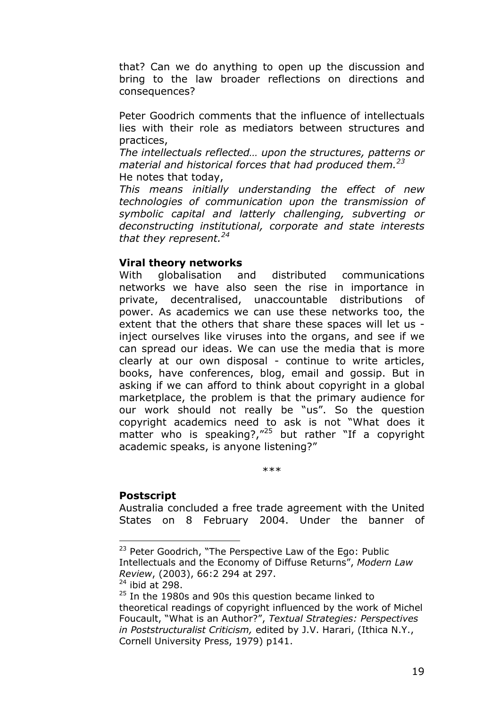that? Can we do anything to open up the discussion and bring to the law broader reflections on directions and consequences?

Peter Goodrich comments that the influence of intellectuals lies with their role as mediators between structures and practices,

*The intellectuals reflected… upon the structures, patterns or material and historical forces that had produced them.[23](#page-18-0)*  He notes that today,

*This means initially understanding the effect of new technologies of communication upon the transmission of symbolic capital and latterly challenging, subverting or deconstructing institutional, corporate and state interests that they represent[.24](#page-18-1)*

# **Viral theory networks**

With globalisation and distributed communications networks we have also seen the rise in importance in private, decentralised, unaccountable distributions of power. As academics we can use these networks too, the extent that the others that share these spaces will let us inject ourselves like viruses into the organs, and see if we can spread our ideas. We can use the media that is more clearly at our own disposal - continue to write articles, books, have conferences, blog, email and gossip. But in asking if we can afford to think about copyright in a global marketplace, the problem is that the primary audience for our work should not really be "us". So the question copyright academics need to ask is not "What does it matter who is speaking?, $"^{25}$  but rather "If a copyright academic speaks, is anyone listening?"

\*\*\*

# **Postscript**

 $\overline{a}$ 

Australia concluded a free trade agreement with the United States on 8 February 2004. Under the banner of

<span id="page-18-0"></span><sup>&</sup>lt;sup>23</sup> Peter Goodrich, "The Perspective Law of the Ego: Public Intellectuals and the Economy of Diffuse Returns", *Modern Law Review*, (2003), 66:2 294 at 297.

<span id="page-18-1"></span> $24$  ibid at 298.

<span id="page-18-2"></span><sup>&</sup>lt;sup>25</sup> In the 1980s and 90s this question became linked to theoretical readings of copyright influenced by the work of Michel Foucault, "What is an Author?", *Textual Strategies: Perspectives in Poststructuralist Criticism,* edited by J.V. Harari, (Ithica N.Y., Cornell University Press, 1979) p141.